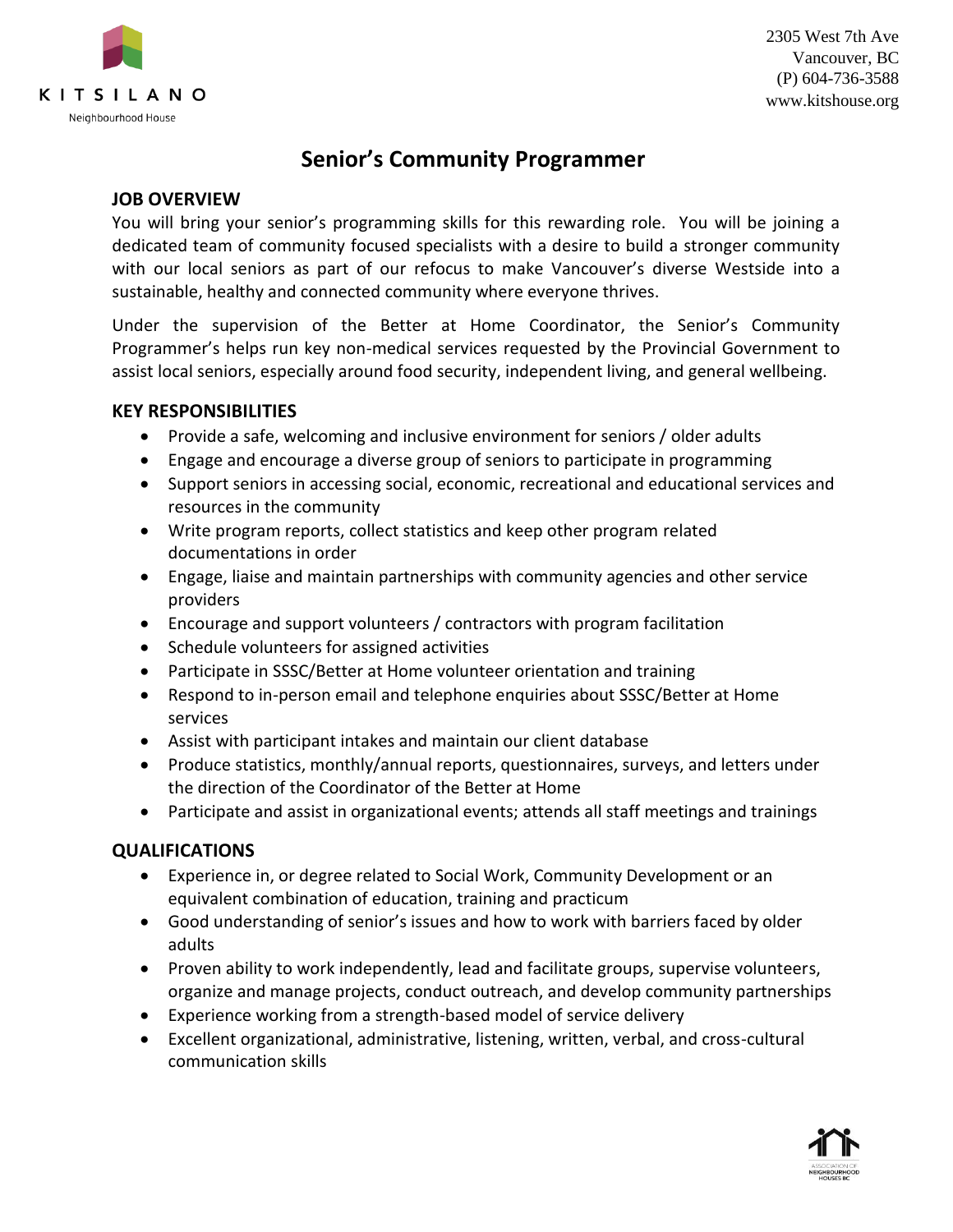

2305 West 7th Ave Vancouver, BC (P) 604-736-3588 www.kitshouse.org

# **Senior's Community Programmer**

#### **JOB OVERVIEW**

You will bring your senior's programming skills for this rewarding role. You will be joining a dedicated team of community focused specialists with a desire to build a stronger community with our local seniors as part of our refocus to make Vancouver's diverse Westside into a sustainable, healthy and connected community where everyone thrives.

Under the supervision of the Better at Home Coordinator, the Senior's Community Programmer's helps run key non-medical services requested by the Provincial Government to assist local seniors, especially around food security, independent living, and general wellbeing.

#### **KEY RESPONSIBILITIES**

- Provide a safe, welcoming and inclusive environment for seniors / older adults
- Engage and encourage a diverse group of seniors to participate in programming
- Support seniors in accessing social, economic, recreational and educational services and resources in the community
- Write program reports, collect statistics and keep other program related documentations in order
- Engage, liaise and maintain partnerships with community agencies and other service providers
- Encourage and support volunteers / contractors with program facilitation
- Schedule volunteers for assigned activities
- Participate in SSSC/Better at Home volunteer orientation and training
- Respond to in-person email and telephone enquiries about SSSC/Better at Home services
- Assist with participant intakes and maintain our client database
- Produce statistics, monthly/annual reports, questionnaires, surveys, and letters under the direction of the Coordinator of the Better at Home
- Participate and assist in organizational events; attends all staff meetings and trainings

## **QUALIFICATIONS**

- Experience in, or degree related to Social Work, Community Development or an equivalent combination of education, training and practicum
- Good understanding of senior's issues and how to work with barriers faced by older adults
- Proven ability to work independently, lead and facilitate groups, supervise volunteers, organize and manage projects, conduct outreach, and develop community partnerships
- Experience working from a strength-based model of service delivery
- Excellent organizational, administrative, listening, written, verbal, and cross-cultural communication skills